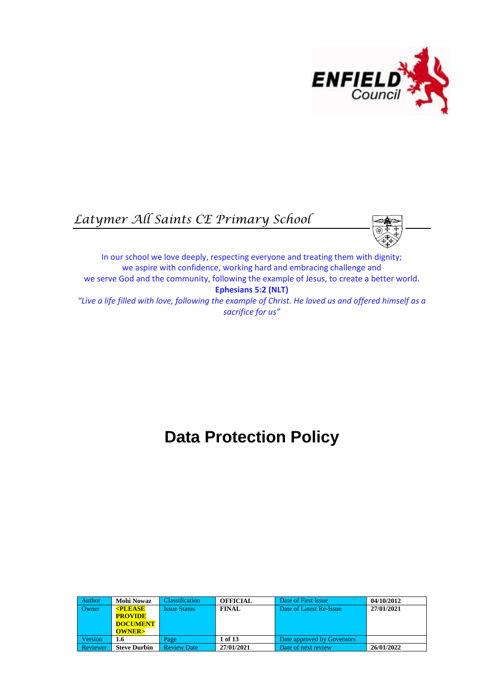

# *Latymer All Saints CE Primary School*



In our school we love deeply, respecting everyone and treating them with dignity; we aspire with confidence, working hard and embracing challenge and we serve God and the community, following the example of Jesus, to create a better world. **Ephesians 5:2 (NLT)** *"Live a life filled with love, following the example of Christ. He loved us and offered himself as a sacrifice for us"*

# **Data Protection Policy**

| Author         | <b>Mohi Nowaz</b>   | <b>Classification</b> | <b>OFFICIAL</b> | Date of First Issue        | 04/10/2012 |
|----------------|---------------------|-----------------------|-----------------|----------------------------|------------|
| Owner          | $\epsilon$ PLEASE   | <b>Issue Status</b>   | <b>FINAL</b>    | Date of Latest Re-Issue    | 27/01/2021 |
|                | <b>PROVIDE</b>      |                       |                 |                            |            |
|                | <b>DOCUMENT</b>     |                       |                 |                            |            |
|                | <b>OWNER&gt;</b>    |                       |                 |                            |            |
| <b>Version</b> | 1.6                 | Page                  | 1 of 13         | Date approved by Governors |            |
| Reviewer       | <b>Steve Durbin</b> | <b>Review Date</b>    | 27/01/2021      | Date of next review        | 26/01/2022 |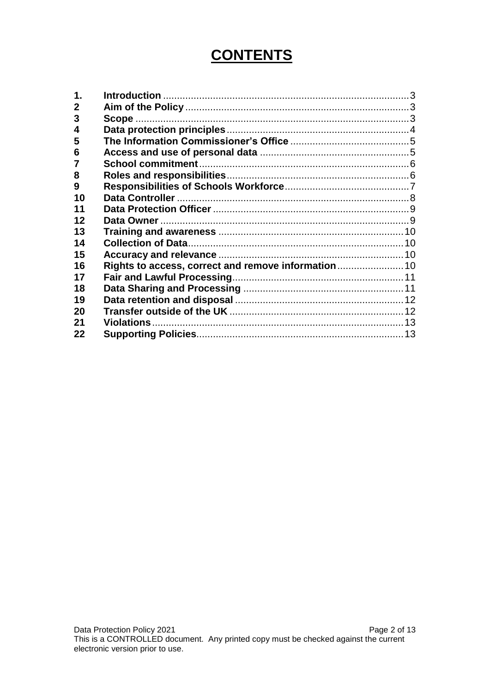# **CONTENTS**

| 2  |  |
|----|--|
| 3  |  |
| 4  |  |
| 5  |  |
| 6  |  |
|    |  |
| 8  |  |
| 9  |  |
| 10 |  |
| 11 |  |
| 12 |  |
| 13 |  |
| 14 |  |
| 15 |  |
| 16 |  |
| 17 |  |
| 18 |  |
| 19 |  |
| 20 |  |
| 21 |  |
| 22 |  |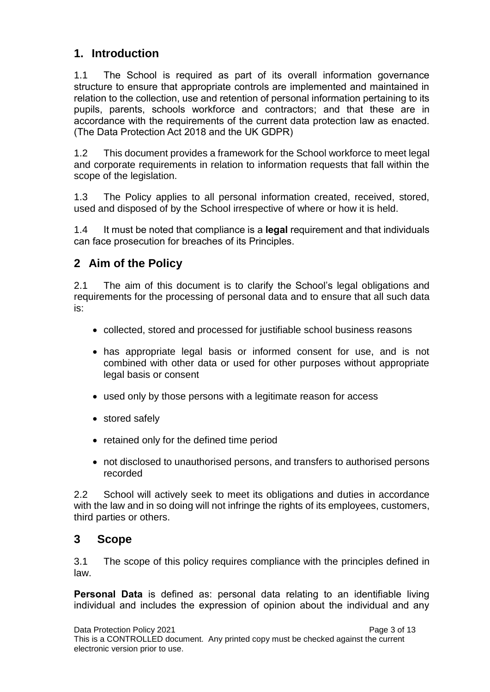# <span id="page-2-0"></span>**1. Introduction**

1.1 The School is required as part of its overall information governance structure to ensure that appropriate controls are implemented and maintained in relation to the collection, use and retention of personal information pertaining to its pupils, parents, schools workforce and contractors; and that these are in accordance with the requirements of the current data protection law as enacted. (The Data Protection Act 2018 and the UK GDPR)

1.2 This document provides a framework for the School workforce to meet legal and corporate requirements in relation to information requests that fall within the scope of the legislation.

1.3 The Policy applies to all personal information created, received, stored, used and disposed of by the School irrespective of where or how it is held.

1.4 It must be noted that compliance is a **legal** requirement and that individuals can face prosecution for breaches of its Principles.

# <span id="page-2-1"></span>**2 Aim of the Policy**

2.1 The aim of this document is to clarify the School's legal obligations and requirements for the processing of personal data and to ensure that all such data is:

- collected, stored and processed for justifiable school business reasons
- has appropriate legal basis or informed consent for use, and is not combined with other data or used for other purposes without appropriate legal basis or consent
- used only by those persons with a legitimate reason for access
- stored safely
- retained only for the defined time period
- not disclosed to unauthorised persons, and transfers to authorised persons recorded

2.2 School will actively seek to meet its obligations and duties in accordance with the law and in so doing will not infringe the rights of its employees, customers, third parties or others.

#### <span id="page-2-2"></span>**3 Scope**

3.1 The scope of this policy requires compliance with the principles defined in law.

**Personal Data** is defined as: personal data relating to an identifiable living individual and includes the expression of opinion about the individual and any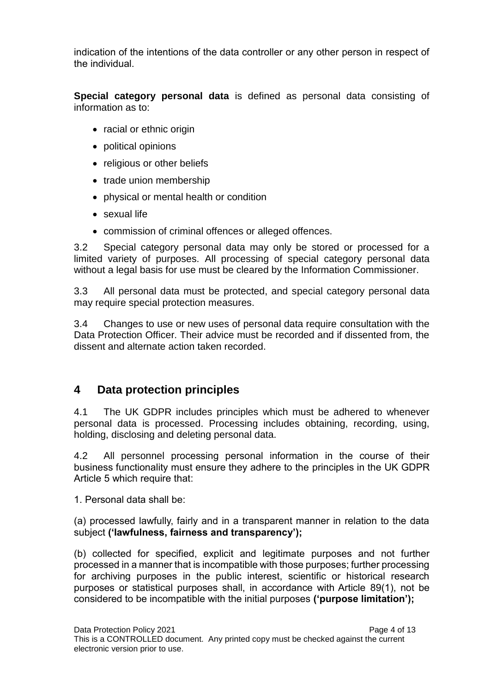indication of the intentions of the data controller or any other person in respect of the individual.

**Special category personal data** is defined as personal data consisting of information as to:

- racial or ethnic origin
- political opinions
- religious or other beliefs
- trade union membership
- physical or mental health or condition
- sexual life
- commission of criminal offences or alleged offences.

3.2 Special category personal data may only be stored or processed for a limited variety of purposes. All processing of special category personal data without a legal basis for use must be cleared by the Information Commissioner.

3.3 All personal data must be protected, and special category personal data may require special protection measures.

3.4 Changes to use or new uses of personal data require consultation with the Data Protection Officer. Their advice must be recorded and if dissented from, the dissent and alternate action taken recorded.

### <span id="page-3-0"></span>**4 Data protection principles**

4.1 The UK GDPR includes principles which must be adhered to whenever personal data is processed. Processing includes obtaining, recording, using, holding, disclosing and deleting personal data.

4.2 All personnel processing personal information in the course of their business functionality must ensure they adhere to the principles in the UK GDPR Article 5 which require that:

1. Personal data shall be:

(a) processed lawfully, fairly and in a transparent manner in relation to the data subject **('lawfulness, fairness and transparency');** 

(b) collected for specified, explicit and legitimate purposes and not further processed in a manner that is incompatible with those purposes; further processing for archiving purposes in the public interest, scientific or historical research purposes or statistical purposes shall, in accordance with Article 89(1), not be considered to be incompatible with the initial purposes **('purpose limitation');**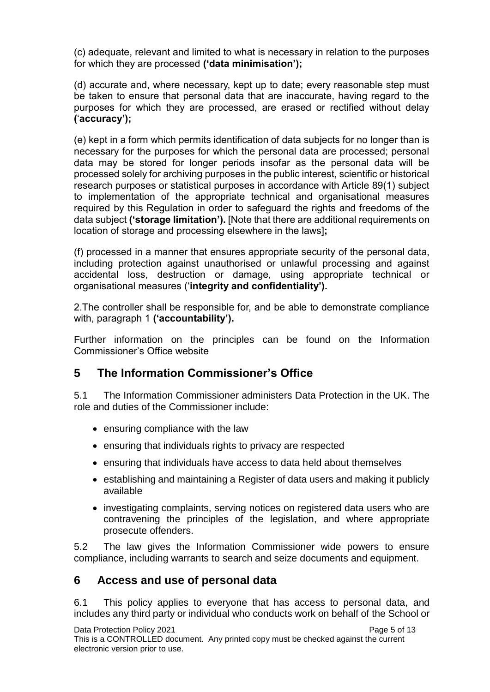(c) adequate, relevant and limited to what is necessary in relation to the purposes for which they are processed **('data minimisation');** 

(d) accurate and, where necessary, kept up to date; every reasonable step must be taken to ensure that personal data that are inaccurate, having regard to the purposes for which they are processed, are erased or rectified without delay **(**'**accuracy');** 

(e) kept in a form which permits identification of data subjects for no longer than is necessary for the purposes for which the personal data are processed; personal data may be stored for longer periods insofar as the personal data will be processed solely for archiving purposes in the public interest, scientific or historical research purposes or statistical purposes in accordance with Article 89(1) subject to implementation of the appropriate technical and organisational measures required by this Regulation in order to safeguard the rights and freedoms of the data subject **('storage limitation').** [Note that there are additional requirements on location of storage and processing elsewhere in the laws]**;** 

(f) processed in a manner that ensures appropriate security of the personal data, including protection against unauthorised or unlawful processing and against accidental loss, destruction or damage, using appropriate technical or organisational measures ('**integrity and confidentiality').** 

2.The controller shall be responsible for, and be able to demonstrate compliance with, paragraph 1 **('accountability').**

Further information on the principles can be found on the Information Commissioner's Office website

#### <span id="page-4-0"></span>**5 The Information Commissioner's Office**

5.1 The Information Commissioner administers Data Protection in the UK. The role and duties of the Commissioner include:

- ensuring compliance with the law
- ensuring that individuals rights to privacy are respected
- ensuring that individuals have access to data held about themselves
- establishing and maintaining a Register of data users and making it publicly available
- investigating complaints, serving notices on registered data users who are contravening the principles of the legislation, and where appropriate prosecute offenders.

5.2 The law gives the Information Commissioner wide powers to ensure compliance, including warrants to search and seize documents and equipment.

#### <span id="page-4-1"></span>**6 Access and use of personal data**

6.1 This policy applies to everyone that has access to personal data, and includes any third party or individual who conducts work on behalf of the School or

Data Protection Policy 2021 **Page 5 of 13** This is a CONTROLLED document. Any printed copy must be checked against the current electronic version prior to use.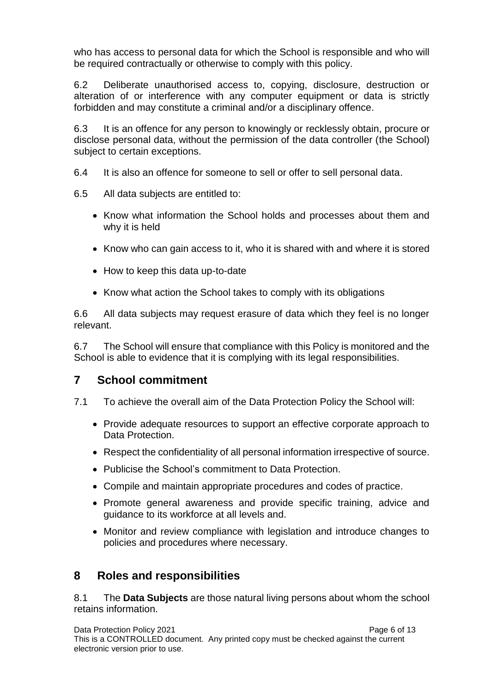who has access to personal data for which the School is responsible and who will be required contractually or otherwise to comply with this policy.

6.2 Deliberate unauthorised access to, copying, disclosure, destruction or alteration of or interference with any computer equipment or data is strictly forbidden and may constitute a criminal and/or a disciplinary offence.

6.3 It is an offence for any person to knowingly or recklessly obtain, procure or disclose personal data, without the permission of the data controller (the School) subject to certain exceptions.

- 6.4 It is also an offence for someone to sell or offer to sell personal data.
- 6.5 All data subjects are entitled to:
	- Know what information the School holds and processes about them and why it is held
	- Know who can gain access to it, who it is shared with and where it is stored
	- How to keep this data up-to-date
	- Know what action the School takes to comply with its obligations

6.6 All data subjects may request erasure of data which they feel is no longer relevant.

6.7 The School will ensure that compliance with this Policy is monitored and the School is able to evidence that it is complying with its legal responsibilities.

#### <span id="page-5-0"></span>**7 School commitment**

- 7.1 To achieve the overall aim of the Data Protection Policy the School will:
	- Provide adequate resources to support an effective corporate approach to Data Protection.
	- Respect the confidentiality of all personal information irrespective of source.
	- Publicise the School's commitment to Data Protection.
	- Compile and maintain appropriate procedures and codes of practice.
	- Promote general awareness and provide specific training, advice and guidance to its workforce at all levels and.
	- Monitor and review compliance with legislation and introduce changes to policies and procedures where necessary.

### <span id="page-5-1"></span>**8 Roles and responsibilities**

8.1 The **Data Subjects** are those natural living persons about whom the school retains information.

Data Protection Policy 2021 **Page 6 of 13** This is a CONTROLLED document. Any printed copy must be checked against the current electronic version prior to use.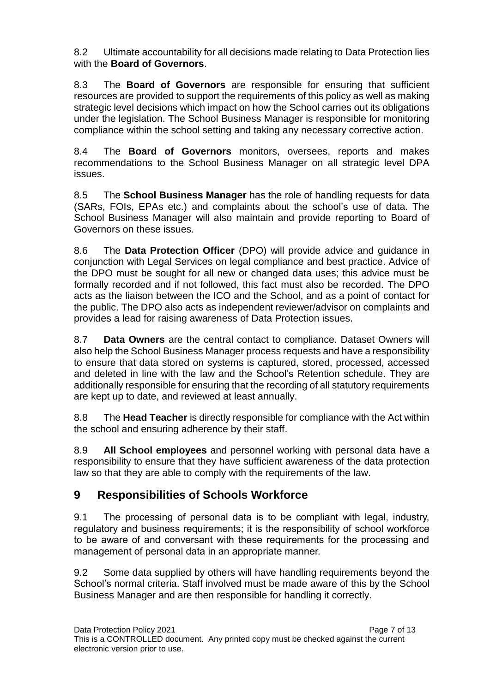8.2 Ultimate accountability for all decisions made relating to Data Protection lies with the **Board of Governors**.

8.3 The **Board of Governors** are responsible for ensuring that sufficient resources are provided to support the requirements of this policy as well as making strategic level decisions which impact on how the School carries out its obligations under the legislation. The School Business Manager is responsible for monitoring compliance within the school setting and taking any necessary corrective action.

8.4 The **Board of Governors** monitors, oversees, reports and makes recommendations to the School Business Manager on all strategic level DPA issues.

8.5 The **School Business Manager** has the role of handling requests for data (SARs, FOIs, EPAs etc.) and complaints about the school's use of data. The School Business Manager will also maintain and provide reporting to Board of Governors on these issues.

8.6 The **Data Protection Officer** (DPO) will provide advice and guidance in conjunction with Legal Services on legal compliance and best practice. Advice of the DPO must be sought for all new or changed data uses; this advice must be formally recorded and if not followed, this fact must also be recorded. The DPO acts as the liaison between the ICO and the School, and as a point of contact for the public. The DPO also acts as independent reviewer/advisor on complaints and provides a lead for raising awareness of Data Protection issues.

8.7 **Data Owners** are the central contact to compliance. Dataset Owners will also help the School Business Manager process requests and have a responsibility to ensure that data stored on systems is captured, stored, processed, accessed and deleted in line with the law and the School's Retention schedule. They are additionally responsible for ensuring that the recording of all statutory requirements are kept up to date, and reviewed at least annually.

8.8 The **Head Teacher** is directly responsible for compliance with the Act within the school and ensuring adherence by their staff.

8.9 **All School employees** and personnel working with personal data have a responsibility to ensure that they have sufficient awareness of the data protection law so that they are able to comply with the requirements of the law.

# <span id="page-6-0"></span>**9 Responsibilities of Schools Workforce**

9.1 The processing of personal data is to be compliant with legal, industry, regulatory and business requirements; it is the responsibility of school workforce to be aware of and conversant with these requirements for the processing and management of personal data in an appropriate manner.

9.2 Some data supplied by others will have handling requirements beyond the School's normal criteria. Staff involved must be made aware of this by the School Business Manager and are then responsible for handling it correctly.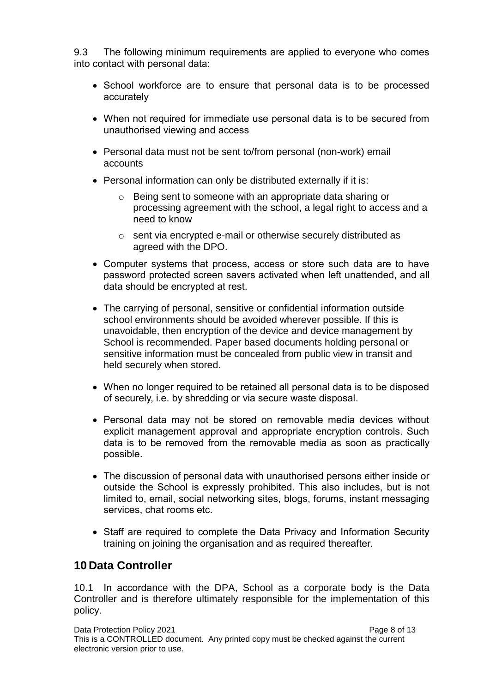9.3 The following minimum requirements are applied to everyone who comes into contact with personal data:

- School workforce are to ensure that personal data is to be processed accurately
- When not required for immediate use personal data is to be secured from unauthorised viewing and access
- Personal data must not be sent to/from personal (non-work) email accounts
- Personal information can only be distributed externally if it is:
	- o Being sent to someone with an appropriate data sharing or processing agreement with the school, a legal right to access and a need to know
	- o sent via encrypted e-mail or otherwise securely distributed as agreed with the DPO.
- Computer systems that process, access or store such data are to have password protected screen savers activated when left unattended, and all data should be encrypted at rest.
- The carrying of personal, sensitive or confidential information outside school environments should be avoided wherever possible. If this is unavoidable, then encryption of the device and device management by School is recommended. Paper based documents holding personal or sensitive information must be concealed from public view in transit and held securely when stored.
- When no longer required to be retained all personal data is to be disposed of securely, i.e. by shredding or via secure waste disposal.
- Personal data may not be stored on removable media devices without explicit management approval and appropriate encryption controls. Such data is to be removed from the removable media as soon as practically possible.
- The discussion of personal data with unauthorised persons either inside or outside the School is expressly prohibited. This also includes, but is not limited to, email, social networking sites, blogs, forums, instant messaging services, chat rooms etc.
- Staff are required to complete the Data Privacy and Information Security training on joining the organisation and as required thereafter.

### <span id="page-7-0"></span>**10 Data Controller**

10.1 In accordance with the DPA, School as a corporate body is the Data Controller and is therefore ultimately responsible for the implementation of this policy.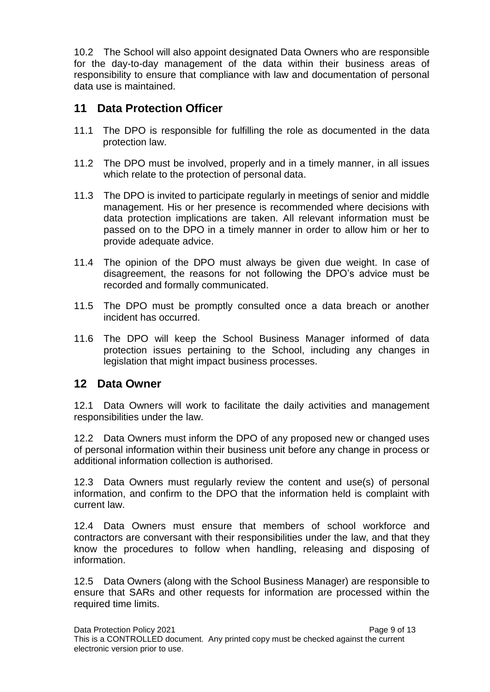10.2 The School will also appoint designated Data Owners who are responsible for the day-to-day management of the data within their business areas of responsibility to ensure that compliance with law and documentation of personal data use is maintained.

### <span id="page-8-0"></span>**11 Data Protection Officer**

- 11.1 The DPO is responsible for fulfilling the role as documented in the data protection law.
- 11.2 The DPO must be involved, properly and in a timely manner, in all issues which relate to the protection of personal data.
- 11.3 The DPO is invited to participate regularly in meetings of senior and middle management. His or her presence is recommended where decisions with data protection implications are taken. All relevant information must be passed on to the DPO in a timely manner in order to allow him or her to provide adequate advice.
- 11.4 The opinion of the DPO must always be given due weight. In case of disagreement, the reasons for not following the DPO's advice must be recorded and formally communicated.
- 11.5 The DPO must be promptly consulted once a data breach or another incident has occurred.
- 11.6 The DPO will keep the School Business Manager informed of data protection issues pertaining to the School, including any changes in legislation that might impact business processes.

#### <span id="page-8-1"></span>**12 Data Owner**

12.1 Data Owners will work to facilitate the daily activities and management responsibilities under the law.

12.2 Data Owners must inform the DPO of any proposed new or changed uses of personal information within their business unit before any change in process or additional information collection is authorised.

12.3 Data Owners must regularly review the content and use(s) of personal information, and confirm to the DPO that the information held is complaint with current law.

12.4 Data Owners must ensure that members of school workforce and contractors are conversant with their responsibilities under the law, and that they know the procedures to follow when handling, releasing and disposing of information.

12.5 Data Owners (along with the School Business Manager) are responsible to ensure that SARs and other requests for information are processed within the required time limits.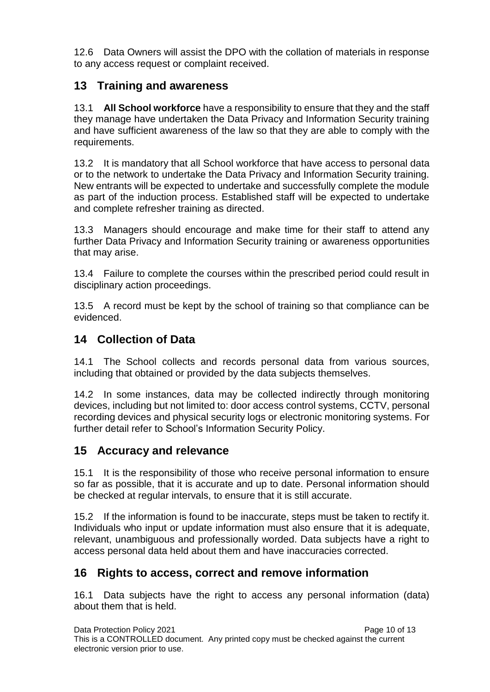12.6 Data Owners will assist the DPO with the collation of materials in response to any access request or complaint received.

# <span id="page-9-0"></span>**13 Training and awareness**

13.1 **All School workforce** have a responsibility to ensure that they and the staff they manage have undertaken the Data Privacy and Information Security training and have sufficient awareness of the law so that they are able to comply with the requirements.

13.2 It is mandatory that all School workforce that have access to personal data or to the network to undertake the Data Privacy and Information Security training. New entrants will be expected to undertake and successfully complete the module as part of the induction process. Established staff will be expected to undertake and complete refresher training as directed.

13.3 Managers should encourage and make time for their staff to attend any further Data Privacy and Information Security training or awareness opportunities that may arise.

13.4 Failure to complete the courses within the prescribed period could result in disciplinary action proceedings.

13.5 A record must be kept by the school of training so that compliance can be evidenced.

## <span id="page-9-1"></span>**14 Collection of Data**

14.1 The School collects and records personal data from various sources, including that obtained or provided by the data subjects themselves.

14.2 In some instances, data may be collected indirectly through monitoring devices, including but not limited to: door access control systems, CCTV, personal recording devices and physical security logs or electronic monitoring systems. For further detail refer to School's Information Security Policy.

### <span id="page-9-2"></span>**15 Accuracy and relevance**

15.1 It is the responsibility of those who receive personal information to ensure so far as possible, that it is accurate and up to date. Personal information should be checked at regular intervals, to ensure that it is still accurate.

15.2 If the information is found to be inaccurate, steps must be taken to rectify it. Individuals who input or update information must also ensure that it is adequate, relevant, unambiguous and professionally worded. Data subjects have a right to access personal data held about them and have inaccuracies corrected.

### <span id="page-9-3"></span>**16 Rights to access, correct and remove information**

16.1 Data subjects have the right to access any personal information (data) about them that is held.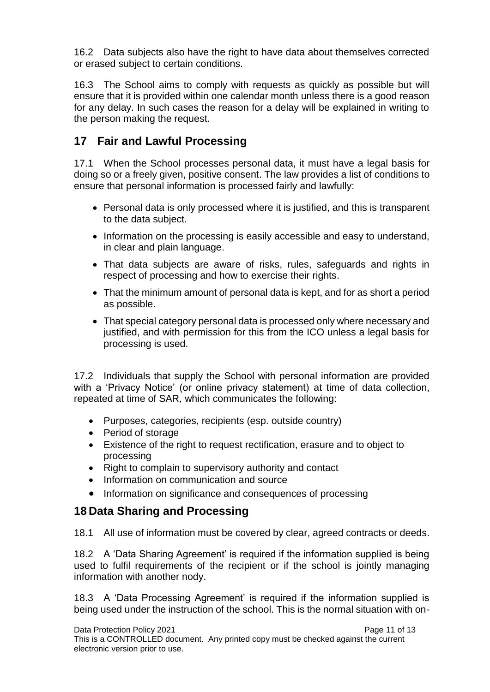16.2 Data subjects also have the right to have data about themselves corrected or erased subject to certain conditions.

16.3 The School aims to comply with requests as quickly as possible but will ensure that it is provided within one calendar month unless there is a good reason for any delay. In such cases the reason for a delay will be explained in writing to the person making the request.

# <span id="page-10-0"></span>**17 Fair and Lawful Processing**

17.1 When the School processes personal data, it must have a legal basis for doing so or a freely given, positive consent. The law provides a list of conditions to ensure that personal information is processed fairly and lawfully:

- Personal data is only processed where it is justified, and this is transparent to the data subject.
- Information on the processing is easily accessible and easy to understand, in clear and plain language.
- That data subjects are aware of risks, rules, safeguards and rights in respect of processing and how to exercise their rights.
- That the minimum amount of personal data is kept, and for as short a period as possible.
- That special category personal data is processed only where necessary and justified, and with permission for this from the ICO unless a legal basis for processing is used.

17.2 Individuals that supply the School with personal information are provided with a 'Privacy Notice' (or online privacy statement) at time of data collection, repeated at time of SAR, which communicates the following:

- Purposes, categories, recipients (esp. outside country)
- Period of storage
- Existence of the right to request rectification, erasure and to object to processing
- Right to complain to supervisory authority and contact
- Information on communication and source
- Information on significance and consequences of processing

# <span id="page-10-1"></span>**18 Data Sharing and Processing**

18.1 All use of information must be covered by clear, agreed contracts or deeds.

18.2 A 'Data Sharing Agreement' is required if the information supplied is being used to fulfil requirements of the recipient or if the school is jointly managing information with another nody.

18.3 A 'Data Processing Agreement' is required if the information supplied is being used under the instruction of the school. This is the normal situation with on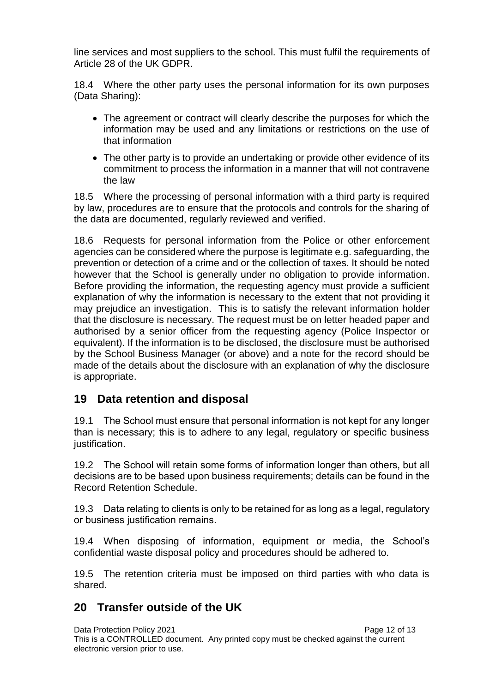line services and most suppliers to the school. This must fulfil the requirements of Article 28 of the UK GDPR.

18.4 Where the other party uses the personal information for its own purposes (Data Sharing):

- The agreement or contract will clearly describe the purposes for which the information may be used and any limitations or restrictions on the use of that information
- The other party is to provide an undertaking or provide other evidence of its commitment to process the information in a manner that will not contravene the law

18.5 Where the processing of personal information with a third party is required by law, procedures are to ensure that the protocols and controls for the sharing of the data are documented, regularly reviewed and verified.

18.6 Requests for personal information from the Police or other enforcement agencies can be considered where the purpose is legitimate e.g. safeguarding, the prevention or detection of a crime and or the collection of taxes. It should be noted however that the School is generally under no obligation to provide information. Before providing the information, the requesting agency must provide a sufficient explanation of why the information is necessary to the extent that not providing it may prejudice an investigation. This is to satisfy the relevant information holder that the disclosure is necessary. The request must be on letter headed paper and authorised by a senior officer from the requesting agency (Police Inspector or equivalent). If the information is to be disclosed, the disclosure must be authorised by the School Business Manager (or above) and a note for the record should be made of the details about the disclosure with an explanation of why the disclosure is appropriate.

#### <span id="page-11-0"></span>**19 Data retention and disposal**

19.1 The School must ensure that personal information is not kept for any longer than is necessary; this is to adhere to any legal, regulatory or specific business justification.

19.2 The School will retain some forms of information longer than others, but all decisions are to be based upon business requirements; details can be found in the Record Retention Schedule.

19.3 Data relating to clients is only to be retained for as long as a legal, regulatory or business justification remains.

19.4 When disposing of information, equipment or media, the School's confidential waste disposal policy and procedures should be adhered to.

19.5 The retention criteria must be imposed on third parties with who data is shared.

#### <span id="page-11-1"></span>**20 Transfer outside of the UK**

Data Protection Policy 2021 **Page 12 of 13** Page 12 of 13 This is a CONTROLLED document. Any printed copy must be checked against the current electronic version prior to use.